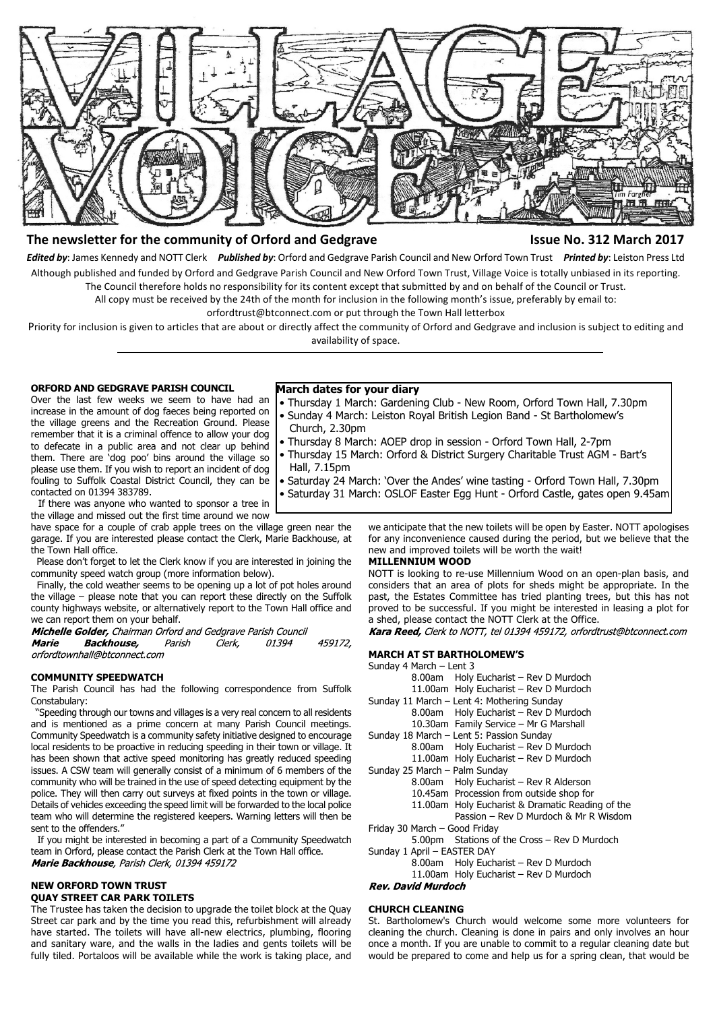

# **The newsletter for the community of Orford and Gedgrave The Community of Orford and Gedgrave The Community of Struck 2017**

*Edited by*: James Kennedy and NOTT Clerk *Published by*: Orford and Gedgrave Parish Council and New Orford Town Trust *Printed by*: Leiston Press Ltd Although published and funded by Orford and Gedgrave Parish Council and New Orford Town Trust, Village Voice is totally unbiased in its reporting. The Council therefore holds no responsibility for its content except that submitted by and on behalf of the Council or Trust.

All copy must be received by the 24th of the month for inclusion in the following month's issue, preferably by email to:

orfordtrust@btconnect.com or put through the Town Hall letterbox

Priority for inclusion is given to articles that are about or directly affect the community of Orford and Gedgrave and inclusion is subject to editing and availability of space.

## **ORFORD AND GEDGRAVE PARISH COUNCIL**

Over the last few weeks we seem to have had an increase in the amount of dog faeces being reported on the village greens and the Recreation Ground. Please remember that it is a criminal offence to allow your dog to defecate in a public area and not clear up behind them. There are 'dog poo' bins around the village so please use them. If you wish to report an incident of dog fouling to Suffolk Coastal District Council, they can be contacted on 01394 383789.

 If there was anyone who wanted to sponsor a tree in the village and missed out the first time around we now

have space for a couple of crab apple trees on the village green near the garage. If you are interested please contact the Clerk, Marie Backhouse, at the Town Hall office.

 Please don't forget to let the Clerk know if you are interested in joining the community speed watch group (more information below).

 Finally, the cold weather seems to be opening up a lot of pot holes around the village – please note that you can report these directly on the Suffolk county highways website, or alternatively report to the Town Hall office and we can report them on your behalf.

Michelle Golder, Chairman Orford and Gedgrave Parish Council **Marie Backhouse,** Parish 01394 459172, Clerk. orfordtownhall@btconnect.com

#### **COMMUNITY SPEEDWATCH**

The Parish Council has had the following correspondence from Suffolk Constabulary:

 "Speeding through our towns and villages is a very real concern to all residents and is mentioned as a prime concern at many Parish Council meetings. Community Speedwatch is a community safety initiative designed to encourage local residents to be proactive in reducing speeding in their town or village. It has been shown that active speed monitoring has greatly reduced speeding issues. A CSW team will generally consist of a minimum of 6 members of the community who will be trained in the use of speed detecting equipment by the police. They will then carry out surveys at fixed points in the town or village. Details of vehicles exceeding the speed limit will be forwarded to the local police team who will determine the registered keepers. Warning letters will then be sent to the offenders.

 If you might be interested in becoming a part of a Community Speedwatch team in Orford, please contact the Parish Clerk at the Town Hall office. Marie Backhouse, Parish Clerk, 01394 459172

## **NEW ORFORD TOWN TRUST QUAY STREET CAR PARK TOILETS**

The Trustee has taken the decision to upgrade the toilet block at the Quay Street car park and by the time you read this, refurbishment will already have started. The toilets will have all-new electrics, plumbing, flooring and sanitary ware, and the walls in the ladies and gents toilets will be fully tiled. Portaloos will be available while the work is taking place, and

#### **March dates for your diary**

- Thursday 1 March: Gardening Club New Room, Orford Town Hall, 7.30pm • Sunday 4 March: Leiston Royal British Legion Band - St Bartholomew's
- Church, 2.30pm
- Thursday 8 March: AOEP drop in session Orford Town Hall, 2-7pm
- Thursday 15 March: Orford & District Surgery Charitable Trust AGM Bart's Hall, 7.15pm
- Saturday 24 March: 'Over the Andes' wine tasting Orford Town Hall, 7.30pm
- Saturday 31 March: OSLOF Easter Egg Hunt Orford Castle, gates open 9.45am

we anticipate that the new toilets will be open by Easter. NOTT apologises for any inconvenience caused during the period, but we believe that the new and improved toilets will be worth the wait!

#### **MILLENNIUM WOOD**

NOTT is looking to re-use Millennium Wood on an open-plan basis, and considers that an area of plots for sheds might be appropriate. In the past, the Estates Committee has tried planting trees, but this has not proved to be successful. If you might be interested in leasing a plot for a shed, please contact the NOTT Clerk at the Office.

Kara Reed, Clerk to NOTT, tel 01394 459172, orfordtrust@btconnect.com

#### **MARCH AT ST BARTHOLOMEW'S**

| Sunday 4 March - Lent 3 |  |  |  |  |  |
|-------------------------|--|--|--|--|--|
|-------------------------|--|--|--|--|--|

|                               | 8.00am Holy Eucharist - Rev D Murdoch            |  |  |  |
|-------------------------------|--------------------------------------------------|--|--|--|
|                               | 11.00am Holy Eucharist - Rev D Murdoch           |  |  |  |
|                               | Sunday 11 March - Lent 4: Mothering Sunday       |  |  |  |
|                               | 8.00am Holy Eucharist - Rev D Murdoch            |  |  |  |
|                               | 10.30am Family Service - Mr G Marshall           |  |  |  |
|                               | Sunday 18 March - Lent 5: Passion Sunday         |  |  |  |
|                               | 8.00am Holy Eucharist - Rev D Murdoch            |  |  |  |
|                               | 11.00am Holy Eucharist - Rev D Murdoch           |  |  |  |
| Sunday 25 March - Palm Sunday |                                                  |  |  |  |
|                               | 8.00am Holy Eucharist - Rev R Alderson           |  |  |  |
|                               | 10.45am Procession from outside shop for         |  |  |  |
|                               | 11.00am Holy Eucharist & Dramatic Reading of the |  |  |  |
|                               | Passion - Rev D Murdoch & Mr R Wisdom            |  |  |  |
| Friday 30 March - Good Friday |                                                  |  |  |  |
|                               | 5.00pm Stations of the Cross - Rev D Murdoch     |  |  |  |
| Sunday 1 April - EASTER DAY   |                                                  |  |  |  |
|                               | 8.00am Holy Eucharist - Rev D Murdoch            |  |  |  |

11.00am Holy Eucharist – Rev D Murdoch<br>Rev. David Murdoch

#### **CHURCH CLEANING**

St. Bartholomew's Church would welcome some more volunteers for cleaning the church. Cleaning is done in pairs and only involves an hour once a month. If you are unable to commit to a regular cleaning date but would be prepared to come and help us for a spring clean, that would be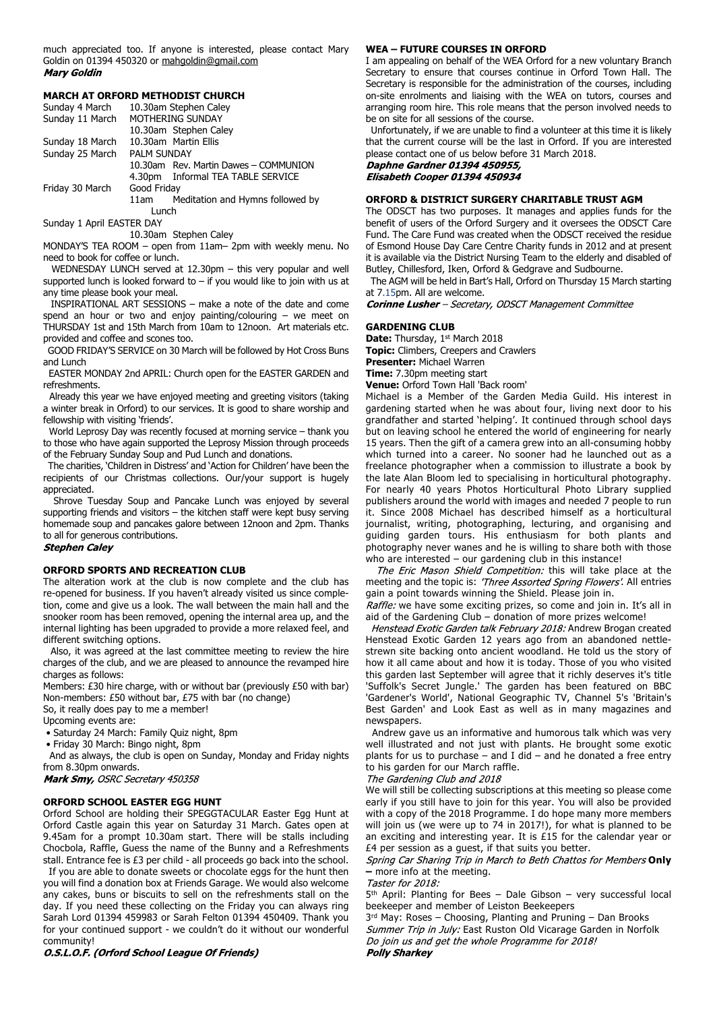much appreciated too. If anyone is interested, please contact Mary Goldin on 01394 450320 or mahgoldin@gmail.com **Mary Goldin** 

#### **MARCH AT ORFORD METHODIST CHURCH**

| Sunday 4 March            | 10.30am Stephen Caley |                                       |  |  |  |
|---------------------------|-----------------------|---------------------------------------|--|--|--|
| Sunday 11 March           | MOTHERING SUNDAY      |                                       |  |  |  |
|                           |                       | 10.30am Stephen Caley                 |  |  |  |
| Sunday 18 March           |                       | 10.30am Martin Ellis                  |  |  |  |
| Sunday 25 March           | <b>PALM SUNDAY</b>    |                                       |  |  |  |
|                           |                       | 10.30am Rev. Martin Dawes - COMMUNION |  |  |  |
|                           |                       | 4.30pm Informal TEA TABLE SERVICE     |  |  |  |
| Friday 30 March           | Good Friday           |                                       |  |  |  |
|                           | 11am                  | Meditation and Hymns followed by      |  |  |  |
| Lunch                     |                       |                                       |  |  |  |
| Sunday 1 April EASTER DAY |                       |                                       |  |  |  |
|                           |                       | 10.30am Stephen Calev                 |  |  |  |

MONDAY'S TEA ROOM – open from 11am– 2pm with weekly menu. No need to book for coffee or lunch.

 WEDNESDAY LUNCH served at 12.30pm – this very popular and well supported lunch is looked forward to  $-$  if you would like to join with us at any time please book your meal.

 INSPIRATIONAL ART SESSIONS – make a note of the date and come spend an hour or two and enjoy painting/colouring – we meet on THURSDAY 1st and 15th March from 10am to 12noon. Art materials etc. provided and coffee and scones too.

 GOOD FRIDAY'S SERVICE on 30 March will be followed by Hot Cross Buns and Lunch

 EASTER MONDAY 2nd APRIL: Church open for the EASTER GARDEN and refreshments.

 Already this year we have enjoyed meeting and greeting visitors (taking a winter break in Orford) to our services. It is good to share worship and fellowship with visiting 'friends'.

 World Leprosy Day was recently focused at morning service – thank you to those who have again supported the Leprosy Mission through proceeds of the February Sunday Soup and Pud Lunch and donations.

 The charities, 'Children in Distress' and 'Action for Children' have been the recipients of our Christmas collections. Our/your support is hugely appreciated.

 Shrove Tuesday Soup and Pancake Lunch was enjoyed by several supporting friends and visitors – the kitchen staff were kept busy serving homemade soup and pancakes galore between 12noon and 2pm. Thanks to all for generous contributions.

# **Stephen Caley**

## **ORFORD SPORTS AND RECREATION CLUB**

The alteration work at the club is now complete and the club has re-opened for business. If you haven't already visited us since completion, come and give us a look. The wall between the main hall and the snooker room has been removed, opening the internal area up, and the internal lighting has been upgraded to provide a more relaxed feel, and different switching options.

 Also, it was agreed at the last committee meeting to review the hire charges of the club, and we are pleased to announce the revamped hire charges as follows:

Members: £30 hire charge, with or without bar (previously £50 with bar) Non-members: £50 without bar, £75 with bar (no change)

So, it really does pay to me a member!

Upcoming events are:

• Saturday 24 March: Family Quiz night, 8pm

• Friday 30 March: Bingo night, 8pm

 And as always, the club is open on Sunday, Monday and Friday nights from 8.30pm onwards.

Mark Smy, OSRC Secretary 450358

#### **ORFORD SCHOOL EASTER EGG HUNT**

Orford School are holding their SPEGGTACULAR Easter Egg Hunt at Orford Castle again this year on Saturday 31 March. Gates open at 9.45am for a prompt 10.30am start. There will be stalls including Chocbola, Raffle, Guess the name of the Bunny and a Refreshments stall. Entrance fee is £3 per child - all proceeds go back into the school.

 If you are able to donate sweets or chocolate eggs for the hunt then you will find a donation box at Friends Garage. We would also welcome any cakes, buns or biscuits to sell on the refreshments stall on the day. If you need these collecting on the Friday you can always ring Sarah Lord 01394 459983 or Sarah Felton 01394 450409. Thank you for your continued support - we couldn't do it without our wonderful community!

#### O.S.L.O.F. (Orford School League Of Friends)

#### **WEA – FUTURE COURSES IN ORFORD**

I am appealing on behalf of the WEA Orford for a new voluntary Branch Secretary to ensure that courses continue in Orford Town Hall. The Secretary is responsible for the administration of the courses, including on-site enrolments and liaising with the WEA on tutors, courses and arranging room hire. This role means that the person involved needs to be on site for all sessions of the course.

 Unfortunately, if we are unable to find a volunteer at this time it is likely that the current course will be the last in Orford. If you are interested please contact one of us below before 31 March 2018.

Daphne Gardner 01394 450955, Elisabeth Cooper 01394 450934

# **ORFORD & DISTRICT SURGERY CHARITABLE TRUST AGM**

The ODSCT has two purposes. It manages and applies funds for the benefit of users of the Orford Surgery and it oversees the ODSCT Care Fund. The Care Fund was created when the ODSCT received the residue of Esmond House Day Care Centre Charity funds in 2012 and at present it is available via the District Nursing Team to the elderly and disabled of Butley, Chillesford, Iken, Orford & Gedgrave and Sudbourne.

 The AGM will be held in Bart's Hall, Orford on Thursday 15 March starting at 7.15pm. All are welcome.

Corinne Lusher - Secretary, ODSCT Management Committee

#### **GARDENING CLUB**

Date: Thursday, 1st March 2018 **Topic:** Climbers, Creepers and Crawlers **Presenter:** Michael Warren **Time:** 7.30pm meeting start

**Venue:** Orford Town Hall 'Back room'

Michael is a Member of the Garden Media Guild. His interest in gardening started when he was about four, living next door to his grandfather and started 'helping'. It continued through school days but on leaving school he entered the world of engineering for nearly 15 years. Then the gift of a camera grew into an all-consuming hobby which turned into a career. No sooner had he launched out as a freelance photographer when a commission to illustrate a book by the late Alan Bloom led to specialising in horticultural photography. For nearly 40 years Photos Horticultural Photo Library supplied publishers around the world with images and needed 7 people to run it. Since 2008 Michael has described himself as a horticultural journalist, writing, photographing, lecturing, and organising and guiding garden tours. His enthusiasm for both plants and photography never wanes and he is willing to share both with those who are interested – our gardening club in this instance!

The Eric Mason Shield Competition: this will take place at the meeting and the topic is: 'Three Assorted Spring Flowers'. All entries gain a point towards winning the Shield. Please join in.

Raffle: we have some exciting prizes, so come and join in. It's all in aid of the Gardening Club – donation of more prizes welcome!

Henstead Exotic Garden talk February 2018: Andrew Brogan created Henstead Exotic Garden 12 years ago from an abandoned nettlestrewn site backing onto ancient woodland. He told us the story of how it all came about and how it is today. Those of you who visited this garden last September will agree that it richly deserves it's title 'Suffolk's Secret Jungle.' The garden has been featured on BBC 'Gardener's World', National Geographic TV, Channel 5's 'Britain's Best Garden' and Look East as well as in many magazines and newspapers.

 Andrew gave us an informative and humorous talk which was very well illustrated and not just with plants. He brought some exotic plants for us to purchase – and I did – and he donated a free entry to his garden for our March raffle.

#### The Gardening Club and 2018

We will still be collecting subscriptions at this meeting so please come early if you still have to join for this year. You will also be provided with a copy of the 2018 Programme. I do hope many more members will join us (we were up to 74 in 2017!), for what is planned to be an exciting and interesting year. It is £15 for the calendar year or £4 per session as a guest, if that suits you better.

**Spring Car Sharing Trip in March to Beth Chattos for Members Only –** more info at the meeting.

Taster for 2018:

5 th April: Planting for Bees – Dale Gibson – very successful local beekeeper and member of Leiston Beekeepers

3 rd May: Roses – Choosing, Planting and Pruning – Dan Brooks Summer Trip in July: East Ruston Old Vicarage Garden in Norfolk<br>Do join us and get the whole Programme for 2018! **Polly Sharkey**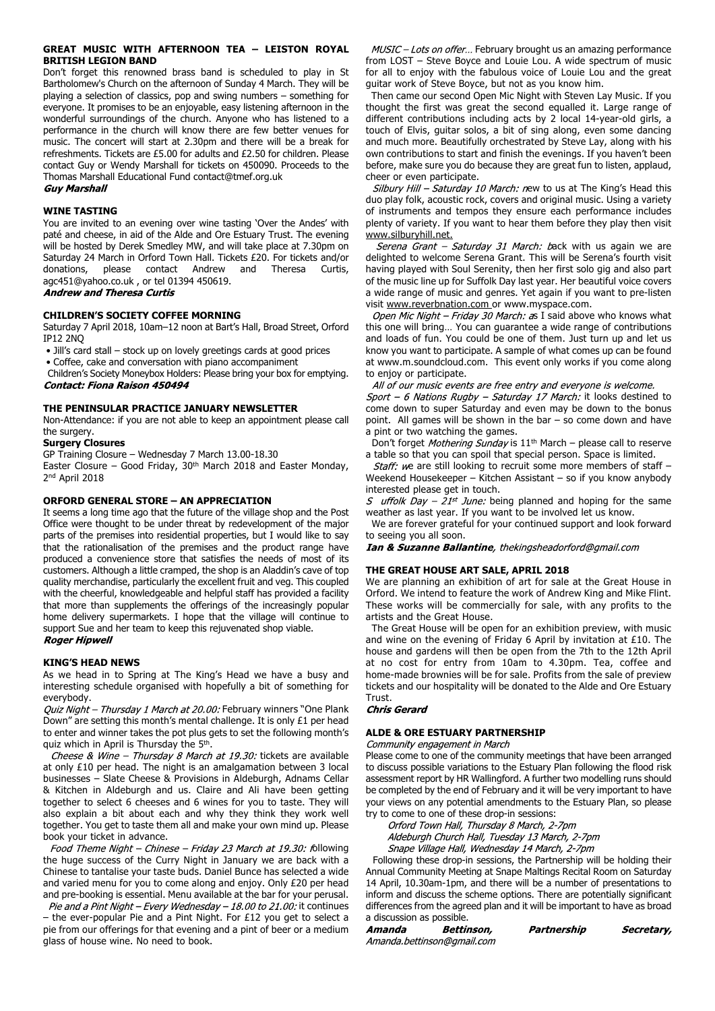#### **GREAT MUSIC WITH AFTERNOON TEA – LEISTON ROYAL BRITISH LEGION BAND**

Don't forget this renowned brass band is scheduled to play in St Bartholomew's Church on the afternoon of Sunday 4 March. They will be playing a selection of classics, pop and swing numbers – something for everyone. It promises to be an enjoyable, easy listening afternoon in the wonderful surroundings of the church. Anyone who has listened to a performance in the church will know there are few better venues for music. The concert will start at 2.30pm and there will be a break for refreshments. Tickets are £5.00 for adults and £2.50 for children. Please contact Guy or Wendy Marshall for tickets on 450090. Proceeds to the Thomas Marshall Educational Fund contact@tmef.org.uk<br>**Guy Marshall** 

### **WINE TASTING**

You are invited to an evening over wine tasting 'Over the Andes' with paté and cheese, in aid of the Alde and Ore Estuary Trust. The evening will be hosted by Derek Smedley MW, and will take place at 7.30pm on Saturday 24 March in Orford Town Hall. Tickets £20. For tickets and/or donations, please contact Andrew and Theresa Curtis, agc451@yahoo.co.uk , or tel 01394 450619. **Andrew and Theresa Curtis** 

**CHILDREN'S SOCIETY COFFEE MORNING** Saturday 7 April 2018, 10am–12 noon at Bart's Hall, Broad Street, Orford IP12 2NQ

• Jill's card stall – stock up on lovely greetings cards at good prices

• Coffee, cake and conversation with piano accompaniment

Children's Society Moneybox Holders: Please bring your box for emptying.<br>Contact: Fiona Raison 450494

#### **THE PENINSULAR PRACTICE JANUARY NEWSLETTER**

Non-Attendance: if you are not able to keep an appointment please call the surgery.

#### **Surgery Closures**

GP Training Closure – Wednesday 7 March 13.00-18.30

Easter Closure - Good Friday, 30<sup>th</sup> March 2018 and Easter Monday, 2 nd April 2018

### **ORFORD GENERAL STORE – AN APPRECIATION**

It seems a long time ago that the future of the village shop and the Post Office were thought to be under threat by redevelopment of the major parts of the premises into residential properties, but I would like to say that the rationalisation of the premises and the product range have produced a convenience store that satisfies the needs of most of its customers. Although a little cramped, the shop is an Aladdin's cave of top quality merchandise, particularly the excellent fruit and veg. This coupled with the cheerful, knowledgeable and helpful staff has provided a facility that more than supplements the offerings of the increasingly popular home delivery supermarkets. I hope that the village will continue to support Sue and her team to keep this rejuvenated shop viable.<br>Roger Hipwell

### **KING'S HEAD NEWS**

As we head in to Spring at The King's Head we have a busy and interesting schedule organised with hopefully a bit of something for everybody.

Quiz Night - Thursday 1 March at 20.00: February winners "One Plank Down" are setting this month's mental challenge. It is only £1 per head to enter and winner takes the pot plus gets to set the following month's quiz which in April is Thursday the 5<sup>th</sup>.

Cheese & Wine - Thursday 8 March at 19.30: tickets are available at only £10 per head. The night is an amalgamation between 3 local businesses – Slate Cheese & Provisions in Aldeburgh, Adnams Cellar & Kitchen in Aldeburgh and us. Claire and Ali have been getting together to select 6 cheeses and 6 wines for you to taste. They will also explain a bit about each and why they think they work well together. You get to taste them all and make your own mind up. Please book your ticket in advance.

Food Theme Night - Chinese - Friday 23 March at 19.30: following the huge success of the Curry Night in January we are back with a Chinese to tantalise your taste buds. Daniel Bunce has selected a wide and varied menu for you to come along and enjoy. Only £20 per head and pre-booking is essential. Menu available at the bar for your perusal.

Pie and a Pint Night - Every Wednesday - 18.00 to 21.00: it continues – the ever-popular Pie and a Pint Night. For £12 you get to select a pie from our offerings for that evening and a pint of beer or a medium glass of house wine. No need to book.

 $MUSIC$  – Lots on offer... February brought us an amazing performance from LOST – Steve Boyce and Louie Lou. A wide spectrum of music for all to enjoy with the fabulous voice of Louie Lou and the great guitar work of Steve Boyce, but not as you know him.

 Then came our second Open Mic Night with Steven Lay Music. If you thought the first was great the second equalled it. Large range of different contributions including acts by 2 local 14-year-old girls, a touch of Elvis, guitar solos, a bit of sing along, even some dancing and much more. Beautifully orchestrated by Steve Lay, along with his own contributions to start and finish the evenings. If you haven't been before, make sure you do because they are great fun to listen, applaud, cheer or even participate.

Silbury Hill - Saturday 10 March: new to us at The King's Head this duo play folk, acoustic rock, covers and original music. Using a variety of instruments and tempos they ensure each performance includes plenty of variety. If you want to hear them before they play then visit www.silburyhill.net.

Serena Grant – Saturday 31 March: back with us again we are delighted to welcome Serena Grant. This will be Serena's fourth visit having played with Soul Serenity, then her first solo gig and also part of the music line up for Suffolk Day last year. Her beautiful voice covers a wide range of music and genres. Yet again if you want to pre-listen visit www.reverbnation.com or www.myspace.com.

Open Mic Night - Friday 30 March: as I said above who knows what this one will bring… You can guarantee a wide range of contributions and loads of fun. You could be one of them. Just turn up and let us know you want to participate. A sample of what comes up can be found at www.m.soundcloud.com. This event only works if you come along to enjoy or participate.<br>All of our music events are free entry and everyone is welcome.

Sport - 6 Nations Rugby - Saturday 17 March: it looks destined to come down to super Saturday and even may be down to the bonus point. All games will be shown in the bar – so come down and have a pint or two watching the games.

Don't forget Mothering Sunday is  $11<sup>th</sup>$  March – please call to reserve a table so that you can spoil that special person. Space is limited.

Staff: we are still looking to recruit some more members of staff -Weekend Housekeeper – Kitchen Assistant – so if you know anybody interested please get in touch.

*S uffolk Day – 21<sup>st</sup> June:* being planned and hoping for the same weather as last year. If you want to be involved let us know.

 We are forever grateful for your continued support and look forward to seeing you all soon.<br>**Ian & Suzanne Ballantine**, thekingsheadorford@gmail.com

# **THE GREAT HOUSE ART SALE, APRIL 2018**

We are planning an exhibition of art for sale at the Great House in Orford. We intend to feature the work of Andrew King and Mike Flint. These works will be commercially for sale, with any profits to the artists and the Great House.

 The Great House will be open for an exhibition preview, with music and wine on the evening of Friday 6 April by invitation at £10. The house and gardens will then be open from the 7th to the 12th April at no cost for entry from 10am to 4.30pm. Tea, coffee and home-made brownies will be for sale. Profits from the sale of preview tickets and our hospitality will be donated to the Alde and Ore Estuary

# Trust.<br>*Chris Gerard*

# **ALDE & ORE ESTUARY PARTNERSHIP**

Community engagement in March

Please come to one of the community meetings that have been arranged to discuss possible variations to the Estuary Plan following the flood risk assessment report by HR Wallingford. A further two modelling runs should be completed by the end of February and it will be very important to have your views on any potential amendments to the Estuary Plan, so please try to come to one of these drop-in sessions:

Orford Town Hall, Thursday 8 March, 2-7pm

Aldeburgh Church Hall, Tuesday 13 March, 2-7pm

Snape Village Hall, Wednesday 14 March, 2-7pm

 Following these drop-in sessions, the Partnership will be holding their Annual Community Meeting at Snape Maltings Recital Room on Saturday 14 April, 10.30am-1pm, and there will be a number of presentations to inform and discuss the scheme options. There are potentially significant differences from the agreed plan and it will be important to have as broad a discussion as possible.

**Bettinson,** Amanda Partnership Secretary, Amanda.bettinson@gmail.com